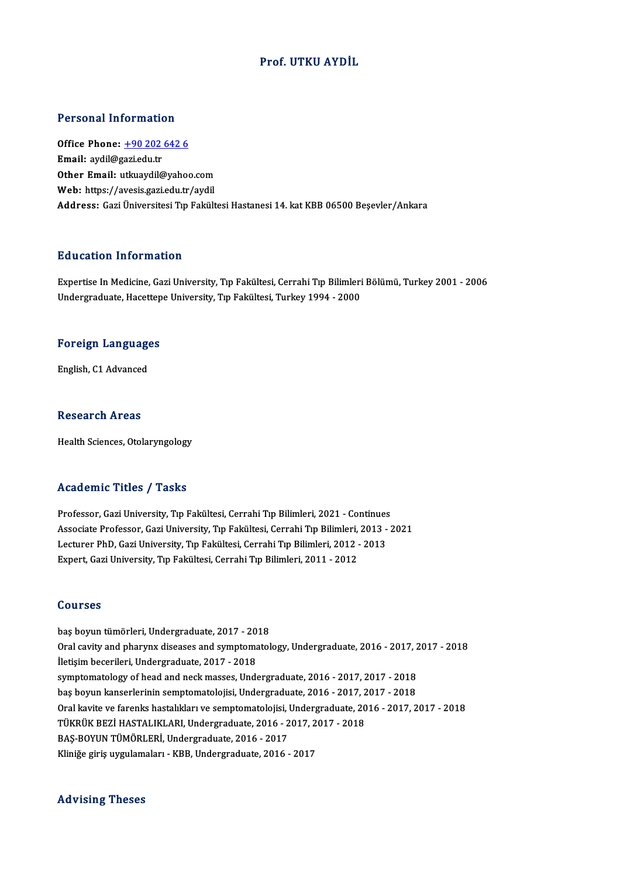## Prof. UTKU AYDİL

### Personal Information

Personal Information<br>Office Phone: <u>+90 202 642 6</u><br>Email: avdil@gari.edu.tr office Phone: <u>+90 202</u><br>Email: aydil@gazi.edu.tr<br>Other Email: uthuaydil@ Email: aydil@gazi.edu.tr<br>Other Email: [utkuaydil@yahoo](tel:+90 202 642 6).com Web: https://avesis.gazi.edu.tr/aydil Address: Gazi Üniversitesi Tıp Fakültesi Hastanesi 14. kat KBB 06500 Beşevler/Ankara

## Education Information

Education Information<br>Expertise In Medicine, Gazi University, Tıp Fakültesi, Cerrahi Tıp Bilimleri Bölümü, Turkey 2001 - 2006<br>Undergraduate Hasettene University, Tıp Fakültesi, Turkey 1994, 2000 Luususeen entselmate.<br>Expertise In Medicine, Gazi University, Tıp Fakültesi, Cerrahi Tıp Bilimleri<br>Undergraduate, Hacettepe University, Tıp Fakültesi, Turkey 1994 - 2000

## <sub>ondergraduate, nacettep</sub><br>Foreign Languages F<mark>oreign Languag</mark>e<br>English, C1 Advanced

English, C1 Advanced<br>Research Areas

Health Sciences, Otolaryngology

### Academic Titles / Tasks

Professor, Gazi University, Tıp Fakültesi, Cerrahi Tıp Bilimleri, 2021 - Continues -<br>Professor, Gazi University, Tıp Fakültesi, Cerrahi Tıp Bilimleri, 2021 - Continues<br>Associate Professor, Gazi University, Tıp Fakültesi, Cerrahi Tıp Bilimleri, 2013 - 2021<br>Lestunar Ph.D. Cazi University, Tıp Fakültesi, Ce Professor, Gazi University, Tıp Fakültesi, Cerrahi Tıp Bilimleri, 2021 - Continues<br>Associate Professor, Gazi University, Tıp Fakültesi, Cerrahi Tıp Bilimleri, 2013 -<br>Lecturer PhD, Gazi University, Tıp Fakültesi, Cerrahi Tı Associate Professor, Gazi University, Tıp Fakültesi, Cerrahi Tıp Bilimleri,<br>Lecturer PhD, Gazi University, Tıp Fakültesi, Cerrahi Tıp Bilimleri, 2012 -<br>Expert, Gazi University, Tıp Fakültesi, Cerrahi Tıp Bilimleri, 2011 - Expert, Gazi University, Tıp Fakültesi, Cerrahi Tıp Bilimleri, 2011 - 2012<br>Courses

**Courses<br>baş boyun tümörleri, Undergraduate, 2017 - 2018<br>Oral cavity and pharuny diseases and sumptematel** Oral cavity and pharynx diseases and symptomatology, Undergraduate, 2016 - 2017, 2017 - 2018<br>İletişim becerileri, Undergraduate, 2017 - 2018 baş boyun tümörleri, Undergraduate, 2017 - 20<br>Oral cavity and pharynx diseases and symptoma<br>İletişim becerileri, Undergraduate, 2017 - 2018<br>symptomatelegy of bead and nesk masses. Unde Oral cavity and pharynx diseases and symptomatology, Undergraduate, 2016 - 2017, 2<br>İletişim becerileri, Undergraduate, 2017 - 2018<br>symptomatology of head and neck masses, Undergraduate, 2016 - 2017, 2017 - 2018<br>has beyun k İletişim becerileri, Undergraduate, 2017 - 2018<br>symptomatology of head and neck masses, Undergraduate, 2016 - 2017, 2017 - 2018<br>baş boyun kanserlerinin semptomatolojisi, Undergraduate, 2016 - 2017, 2017 - 2018<br>Oral kavite symptomatology of head and neck masses, Undergraduate, 2016 - 2017, 2017 - 2018<br>baş boyun kanserlerinin semptomatolojisi, Undergraduate, 2016 - 2017, 2017 - 2018<br>Oral kavite ve farenks hastalıkları ve semptomatolojisi, Und baş boyun kanserlerinin semptomatolojisi, Undergraduate, 2016 - 2017, 2017 - 2018<br>Oral kavite ve farenks hastalıkları ve semptomatolojisi, Undergraduate, 2016 - 2017, 2017 - 2018<br>TÜKRÜK BEZİ HASTALIKLARI, Undergraduate, 20 Oral kavite ve farenks hastalıkları ve semptomatolojisi, |<br>TÜKRÜK BEZİ HASTALIKLARI, Undergraduate, 2016 - 2<br>BAŞ-BOYUN TÜMÖRLERİ, Undergraduate, 2016 - 2017<br>Kliniğe giriş uygulamaları - KBB, Undergraduate, 2016 TÜKRÜK BEZİ HASTALIKLARI, Undergraduate, 2016 - 2017, 2<br>BAŞ-BOYUN TÜMÖRLERİ, Undergraduate, 2016 - 2017<br>Kliniğe giriş uygulamaları - KBB, Undergraduate, 2016 - 2017 Kliniğe giriş uygulamaları - KBB, Undergraduate, 2016 - 2017<br>Advising Theses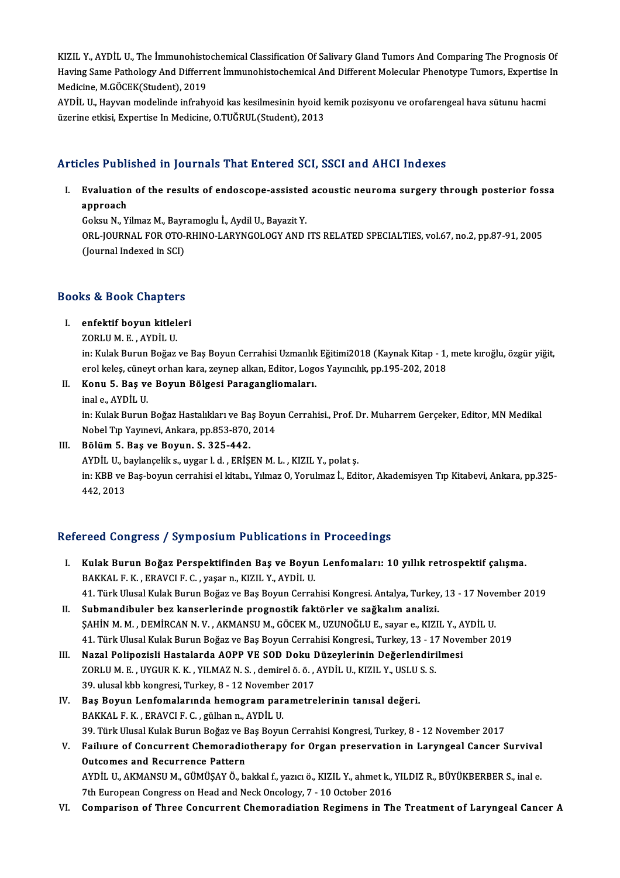KIZIL Y., AYDİL U., The İmmunohistochemical Classification Of Salivary Gland Tumors And Comparing The Prognosis Of<br>Having Same Pethelogy And Differrent İmmunohistochemical And Different Melegyler Phanetme Tumors, Evnertice KIZIL Y., AYDİL U., The İmmunohistochemical Classification Of Salivary Gland Tumors And Comparing The Prognosis Of<br>Having Same Pathology And Differrent İmmunohistochemical And Different Molecular Phenotype Tumors, Expertis KIZIL Y., AYDİL U., The İmmunohisto<br>Having Same Pathology And Differre<br>Medicine, M.GÖCEK(Student), 2019<br>AYDİL II. Hayyan madelinde infrahı Having Same Pathology And Differrent İmmunohistochemical And Different Molecular Phenotype Tumors, Expertise<br>Medicine, M.GÖCEK(Student), 2019<br>AYDİL U., Hayvan modelinde infrahyoid kas kesilmesinin hyoid kemik pozisyonu ve

Medicine, M.GÖCEK(Student), 2019<br>AYDİL U., Hayvan modelinde infrahyoid kas kesilmesinin hyoid k<br>üzerine etkisi, Expertise In Medicine, O.TUĞRUL(Student), 2013

# üzerine etkisi, Expertise In Medicine, O.TUĞRUL(Student), 2013<br>Articles Published in Journals That Entered SCI, SSCI and AHCI Indexes

rticles Published in Journals That Entered SCI, SSCI and AHCI Indexes<br>I. Evaluation of the results of endoscope-assisted acoustic neuroma surgery through posterior fossa<br>Approach Evaluation<br>Evaluation<br>Gelseu N. V. Evaluation of the results of endoscope-assisted<br>approach<br>Goksu N., Yilmaz M., Bayramoglu İ., Aydil U., Bayazit Y.<br>OPL JOURNAL EOR OTO RHINO LARYNCOLOGY AND

approach<br>Goksu N., Yilmaz M., Bayramoglu İ., Aydil U., Bayazit Y.<br>ORL-JOURNAL FOR OTO-RHINO-LARYNGOLOGY AND ITS RELATED SPECIALTIES, vol.67, no.2, pp.87-91, 2005<br>(Journal Indexed in SCI) Goksu N., Yilmaz M., Bayr<br>ORL-JOURNAL FOR OTO-<br>(Journal Indexed in SCI)

## (journal indexed in SCI)<br>Books & Book Chapters OOks & Book Chapters<br>I. enfektif boyun kitleleri<br>ZOPLUM E AYDU U

## I. enfektif boyun kitleleri<br>ZORLUM.E., AYDİLU.

in: Kulak Burun Boğaz ve Baş Boyun Cerrahisi Uzmanlık Eğitimi2018 (Kaynak Kitap - 1, mete kıroğlu, özgür yiğit, erol keleş, cüneyt orhan kara, zeynep alkan, Editor, Logos Yayıncılık, pp.195-202, 2018 in: Kulak Burun Boğaz ve Baş Boyun Cerrahisi Uzmanlık<br>erol keleş, cüneyt orhan kara, zeynep alkan, Editor, Logo<br>II. Konu 5. Baş ve Boyun Bölgesi Paragangliomaları.<br>ipal e. AYDİL II. erol keleş, cüney<br>Konu 5. Baş ve<br>inal e., AYDİL U.<br>in: Kulak Burun

Konu 5. Baş ve Boyun Bölgesi Paragangliomaları.<br>inal e., AYDİL U.<br>in: Kulak Burun Boğaz Hastalıkları ve Baş Boyun Cerrahisi., Prof. Dr. Muharrem Gerçeker, Editor, MN Medikal<br>Nobel Tın Yayınevi, Ankare, nn 952,970,2014. inal e., AYDİL U.<br>in: Kulak Burun Boğaz Hastalıkları ve Baş Boyu<br>Nobel Tıp Yayınevi, Ankara, pp.853-870, 2014<br>Bölüm 5. Baş ve Boyun, S. 335.443.

Nobel Tıp Yayınevi, Ankara, pp.853-870, 2014<br>III. Bölüm 5. Baş ve Boyun. S. 325-442.

Nobel Tıp Yayınevi, Ankara, pp.853-870, 2014<br>Bölüm 5. Baş ve Boyun. S. 325-442.<br>AYDİL U., baylançelik s., uygar l. d. , ERİŞEN M. L. , KIZIL Y., polat ş.<br>in: KBB ve Bes boyun serrebisi el kiteb. Yılmaz Q. Yorulmaz İ. Edi in: KBB ve Baş-boyun cerrahisi el kitabı., Yılmaz O, Yorulmaz İ., Editor, Akademisyen Tıp Kitabevi, Ankara, pp.325-<br>442, 2013 AYDİL U., b<br>in: KBB ve<br>442, 2013

## Refereed Congress / Symposium Publications in Proceedings

- efereed Congress / Symposium Publications in Proceedings<br>I. Kulak Burun Boğaz Perspektifinden Baş ve Boyun Lenfomaları: 10 yıllık retrospektif çalışma.<br>RAKKALE K. ERAVCLE C. VSSAR KIZU X. AYDU U. BAKKAL F. K. , ERAVCI F. C. , yaşar n., KIZIL Y., AYDİL U.<br>41. Türk Ulusal Kulak Burun Boğaz ve Baş Boyun Cerrahisi Kongresi. Antalya, Turkey, 13 - 17 November 2019 Kulak Burun Boğaz Perspektifinden Baş ve Boyun Lenfomaları: 10 yıllık retrospektif çalışma.<br>BAKKAL F. K. , ERAVCI F. C. , yaşar n., KIZIL Y., AYDİL U.<br>41. Türk Ulusal Kulak Burun Boğaz ve Baş Boyun Cerrahisi Kongresi. Anta
- II. Submandibuler bez kanserlerinde prognostik faktörler ve sağkalım analizi. ŞAHİNM.M. ,DEMİRCANN.V. ,AKMANSUM.,GÖCEKM.,UZUNOĞLUE., sayar e.,KIZIL Y.,AYDİLU. 41.TürkUlusalKulakBurunBoğazveBaşBoyunCerrahisiKongresi.,Turkey,13 -17November 2019 ŞAHİN M. M. , DEMİRCAN N. V. , AKMANSU M., GÖCEK M., UZUNOĞLU E., sayar e., KIZIL Y., A<br>41. Türk Ulusal Kulak Burun Boğaz ve Baş Boyun Cerrahisi Kongresi., Turkey, 13 - 17 Nove<br>III. Nazal Polipozisli Hastalarda AOPP VE SOD
- 41. Türk Ulusal Kulak Burun Boğaz ve Baş Boyun Cerrahisi Kongresi., Turkey, 13 17<br>Nazal Polipozisli Hastalarda AOPP VE SOD Doku Düzeylerinin Değerlendiri<br>ZORLU M. E. , UYGUR K. K. , YILMAZ N. S. , demirel ö. ö. , AYDİL U Nazal Polipozisli Hastalarda AOPP VE SOD Doku I<br>ZORLU M. E., UYGUR K. K., YILMAZ N. S., demirel ö. ö., .<br>39. ulusal kbb kongresi, Turkey, 8 - 12 November 2017<br>Bes Bowun Lanfomalanında hamagram naramatra ZORLU M. E., UYGUR K. K., YILMAZ N. S., demirel ö. ö., AYDİL U., KIZIL Y., USLU 39. ulusal kbb kongresi, Turkey, 8 - 12 November 2017<br>IV. Baş Boyun Lenfomalarında hemogram parametrelerinin tanısal değeri.<br>PAKKAL E.K., ERAV
- 39. ulusal kbb kongresi, Turkey, 8 12 Novembe<br>Baş Boyun Lenfomalarında hemogram par<br>BAKKAL F.K. , ERAVCI F.C. , gülhan n., AYDİL U.<br>20 Türk Ulusal Kulak Bunun Boğar ve Baş Boyu 39. Türk Ulusal Kulak Burun Boğaz ve Baş Boyun Cerrahisi Kongresi, Turkey, 8 - 12 November 2017<br>39. Türk Ulusal Kulak Burun Boğaz ve Baş Boyun Cerrahisi Kongresi, Turkey, 8 - 12 November 2017 BAKKAL F. K. , ERAVCI F. C. , gülhan n., AYDİL U.<br>39. Türk Ulusal Kulak Burun Boğaz ve Baş Boyun Cerrahisi Kongresi, Turkey, 8 - 12 November 2017<br>V. Failıure of Concurrent Chemoradiotherapy for Organ preservation in La
- 39. Türk Ulusal Kulak Burun Boğaz ve E<br>Failiure of Concurrent Chemoradio<br>Outcomes and Recurrence Pattern<br>AVDU U AVMANSUM CÜMÜSAVÖ b Faillure of Concurrent Chemoradiotherapy for Organ preservation in Laryngeal Cancer Survival<br>Outcomes and Recurrence Pattern<br>AYDİL U., AKMANSU M., GÜMÜŞAY Ö., bakkal f., yazıcı ö., KIZIL Y., ahmet k., YILDIZ R., BÜYÜKBERBE Outcomes and Recurrence Pattern<br>AYDİL U., AKMANSU M., GÜMÜŞAY Ö., bakkal f., yazıcı ö., KIZIL Y., ahmet k., YILDIZ R., BÜYÜKBERBER S., inal e.<br>7th European Congress on Head and Neck Oncology, 7 - 10 October 2016
- VI. Comparison of Three Concurrent Chemoradiation Regimens in The Treatment of Laryngeal Cancer A